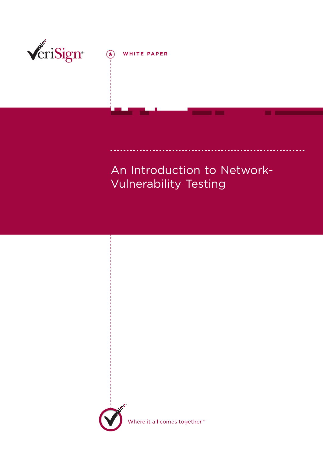

 $\bigcirc \hspace{-3.5mm} \bigcirc$ **WHITE PAPER**

## An Introduction to Network-Vulnerability Testing



Where it all comes together.™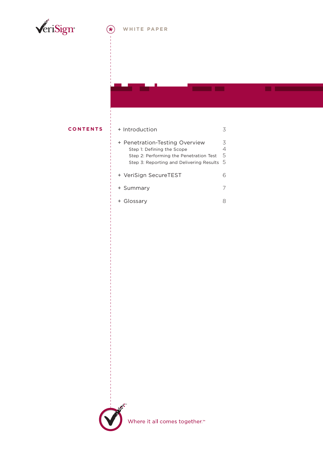

#### $\bigl(\bigstar$ **WHITE PAPER**

#### **C ONTENTS**

### + Introduction 3 + Penetration-Testing Overview 3 Step 1: Defining the Scope 4 Step 2: Performing the Penetration Test 5 Step 3: Reporting and Delivering Results 5 + VeriSign SecureTEST 6 + Summary 7 + Glossary 8



Where it all comes together.<sup>™</sup>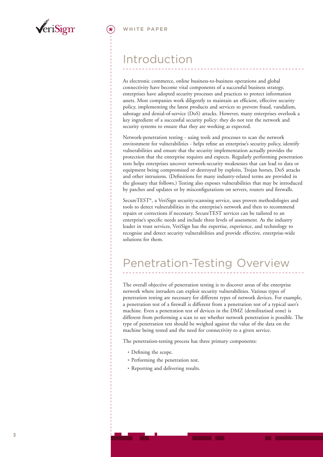

## Introduction

As electronic commerce, online business-to-business operations and global connectivity have become vital components of a successful business strategy, enterprises have adopted security processes and practices to protect information assets. Most companies work diligently to maintain an efficient, effective security policy, implementing the latest products and services to prevent fraud, vandalism, sabotage and denial-of-service (DoS) attacks. However, many enterprises overlook a key ingredient of a successful security policy: they do not test the network and security systems to ensure that they are working as expected.

Network-penetration testing - using tools and processes to scan the network environment for vulnerabilities - helps refine an enterprise's security policy, identify vulnerabilities and ensure that the security implementation actually provides the protection that the enterprise requires and expects. Regularly performing penetration tests helps enterprises uncover network-security weaknesses that can lead to data or equipment being compromised or destroyed by exploits, Trojan horses, DoS attacks and other intrusions. (Definitions for many industry-related terms are provided in the glossary that follows.) Testing also exposes vulnerabilities that may be introduced by patches and updates or by misconfigurations on servers, routers and firewalls.

SecureTEST®, a VeriSign security-scanning service, uses proven methodologies and tools to detect vulnerabilities in the enterprise's network and then to recommend repairs or corrections if necessary. SecureTEST services can be tailored to an enterprise's specific needs and include three levels of assessment. As the industry leader in trust services, VeriSign has the expertise, experience, and technology to recognise and detect security vulnerabilities and provide effective, enterprise-wide solutions for them.

# Penetration-Testing Overview

The overall objective of penetration testing is to discover areas of the enterprise network where intruders can exploit security vulnerabilities. Various types of penetration testing are necessary for different types of network devices. For example, a penetration test of a firewall is different from a penetration test of a typical user's machine. Even a penetration test of devices in the DMZ (demilitarised zone) is different from performing a scan to see whether network penetration is possible. The type of penetration test should be weighed against the value of the data on the machine being tested and the need for connectivity to a given service.

The penetration-testing process has three primary components:

- Defining the scope.
- Performing the penetration test.
- Reporting and delivering results.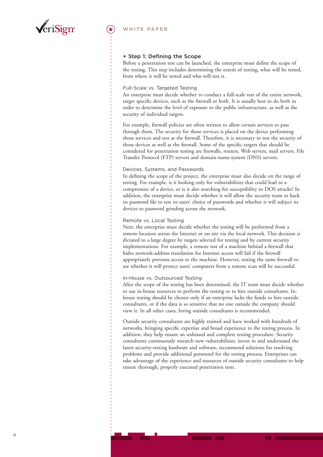

#### **+ Step 1: Defining the Scope**

Before a penetration test can be launched, the enterprise must define the scope of the testing. This step includes determining the extent of testing, what will be tested, from where it will be tested and who will test it.

#### Full-Scale vs. Targeted Testing

An enterprise must decide whether to conduct a full-scale test of the entire network, target specific devices, such as the firewall or both. It is usually best to do both in order to determine the level of exposure to the public infrastructure, as well as the security of individual targets.

For example, firewall policies are often written to allow certain services to pass through them. The security for those services is placed on the device performing those services and not at the firewall. Therefore, it is necessary to test the security of those devices as well as the firewall. Some of the specific targets that should be considered for penetration testing are firewalls, routers, Web servers, mail servers, File Transfer Protocol (FTP) servers and domain-name-system (DNS) servers.

#### Devices, Systems, and Passwords

In defining the scope of the project, the enterprise must also decide on the range of testing. For example, is it looking only for vulnerabilities that could lead to a compromise of a device, or is it also searching for susceptibility to DOS attacks? In addition, the enterprise must decide whether it will allow the security team to hack its password file to test its users' choice of passwords and whether it will subject its devices to password grinding across the network.

#### Remote vs. Local Testing

Next, the enterprise must decide whether the testing will be performed from a remote location across the Internet or on site via the local network. This decision is dictated to a large degree by targets selected for testing and by current security implementations. For example, a remote test of a machine behind a firewall that hides network-address translation for Internet access will fail if the firewall appropriately prevents access to the machine. However, testing the same firewall to see whether it will protect users' computers from a remote scan will be successful.

#### In-House vs. Outsourced Testing

After the scope of the testing has been determined, the IT team must decide whether to use in-house resources to perform the testing or to hire outside consultants. Inhouse testing should be chosen only if an enterprise lacks the funds to hire outside consultants, or if the data is so sensitive that no one outside the company should view it. In all other cases, hiring outside consultants is recommended.

Outside security consultants are highly trained and have worked with hundreds of networks, bringing specific expertise and broad experience to the testing process. In addition, they help ensure an unbiased and complete testing procedure. Security consultants continuously research new vulnerabilities, invest in and understand the latest security-testing hardware and software, recommend solutions for resolving problems and provide additional personnel for the testing process. Enterprises can take advantage of the experience and resources of outside security consultants to help ensure thorough, properly executed penetration tests.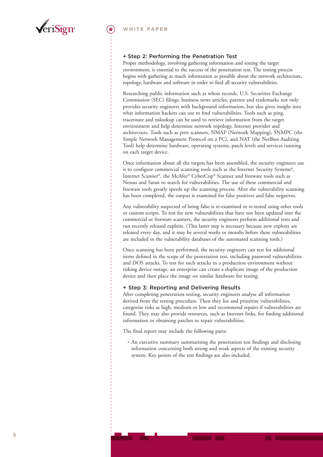

### **+ Step 2: Performing the Penetration Test**

Proper methodology, involving gathering information and testing the target environment, is essential to the success of the penetration test. The testing process begins with gathering as much information as possible about the network architecture, topology, hardware and software in order to find all security vulnerabilities.

Researching public information such as whois records, U.S. Securities Exchange Commission (SEC) filings, business news articles, patents and trademarks not only provides security engineers with background information, but also gives insight into what information hackers can use to find vulnerabilities. Tools such as ping, traceroute and nslookup can be used to retrieve information from the target environment and help determine network topology, Internet provider and architecture. Tools such as port scanners, NMAP (Network Mapping), SNMPC (the Simple Network Management Protocol on a PC), and NAT (the NetBios Auditing Tool) help determine hardware, operating systems, patch levels and services running on each target device.

Once information about all the targets has been assembled, the security engineers use it to configure commercial scanning tools such as the Internet Security Systems®, Internet Scanner®, the McAfee® CyberCop® Scanner and freeware tools such as Nessus and Satan to search for vulnerabilities. The use of these commercial and freeware tools greatly speeds up the scanning process. After the vulnerability scanning has been completed, the output is examined for false positives and false negatives.

Any vulnerability suspected of being false is re-examined or re-tested using other tools or custom scripts. To test for new vulnerabilities that have not been updated into the commercial or freeware scanners, the security engineers perform additional tests and run recently released exploits. (This latter step is necessary because new exploits are released every day, and it may be several weeks or months before these vulnerabilities are included in the vulnerability databases of the automated scanning tools.)

Once scanning has been performed, the security engineers can test for additional items defined in the scope of the penetration test, including password vulnerabilities and DOS attacks. To test for such attacks in a production environment without risking device outage, an enterprise can create a duplicate image of the production device and then place the image on similar hardware for testing.

### **+ Step 3: Reporting and Delivering Results**

After completing penetration testing, security engineers analyse all information derived from the testing procedure. Then they list and prioritise vulnerabilities, categorise risks as high, medium or low and recommend repairs if vulnerabilities are found. They may also provide resources, such as Internet links, for finding additional information or obtaining patches to repair vulnerabilities.

The final report may include the following parts:

• An executive summary summarising the penetration test findings and disclosing information concerning both strong and weak aspects of the existing security system. Key points of the test findings are also included.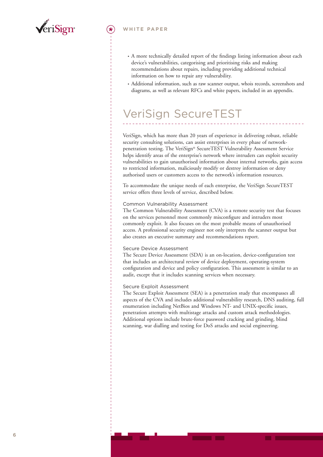

#### **WHITE PAPER**

- A more technically detailed report of the findings listing information about each device's vulnerabilities, categorising and prioritising risks and making recommendations about repairs, including providing additional technical information on how to repair any vulnerability.
- Additional information, such as raw scanner output, whois records, screenshots and diagrams, as well as relevant RFCs and white papers, included in an appendix.

## VeriSign SecureTEST

VeriSign, which has more than 20 years of experience in delivering robust, reliable security consulting solutions, can assist enterprises in every phase of networkpenetration testing. The VeriSign® SecureTEST Vulnerability Assessment Service helps identify areas of the enterprise's network where intruders can exploit security vulnerabilities to gain unauthorised information about internal networks, gain access to restricted information, maliciously modify or destroy information or deny authorised users or customers access to the network's information resources.

To accommodate the unique needs of each enterprise, the VeriSign SecureTEST service offers three levels of service, described below.

#### Common Vulnerability Assessment

The Common Vulnerability Assessment (CVA) is a remote security test that focuses on the services personnel most commonly misconfigure and intruders most commonly exploit. It also focuses on the most probable means of unauthorised access. A professional security engineer not only interprets the scanner output but also creates an executive summary and recommendations report.

#### Secure Device Assessment

The Secure Device Assessment (SDA) is an on-location, device-configuration test that includes an architectural review of device deployment, operating-system configuration and device and policy configuration. This assessment is similar to an audit, except that it includes scanning services when necessary.

#### Secure Exploit Assessment

The Secure Exploit Assessment (SEA) is a penetration study that encompasses all aspects of the CVA and includes additional vulnerability research, DNS auditing, full enumeration including NetBios and Windows NT- and UNIX-specific issues, penetration attempts with multistage attacks and custom attack methodologies. Additional options include brute-force password cracking and grinding, blind scanning, war dialling and testing for DoS attacks and social engineering.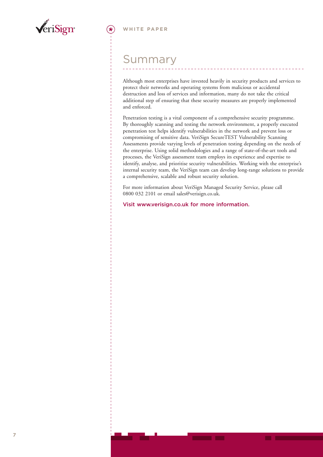

### Summary

Although most enterprises have invested heavily in security products and services to protect their networks and operating systems from malicious or accidental destruction and loss of services and information, many do not take the critical additional step of ensuring that these security measures are properly implemented and enforced.

Penetration testing is a vital component of a comprehensive security programme. By thoroughly scanning and testing the network environment, a properly executed penetration test helps identify vulnerabilities in the network and prevent loss or compromising of sensitive data. VeriSign SecureTEST Vulnerability Scanning Assessments provide varying levels of penetration testing depending on the needs of the enterprise. Using solid methodologies and a range of state-of-the-art tools and processes, the VeriSign assessment team employs its experience and expertise to identify, analyse, and prioritise security vulnerabilities. Working with the enterprise's internal security team, the VeriSign team can develop long-range solutions to provide a comprehensive, scalable and robust security solution.

For more information about VeriSign Managed Security Service, please call 0800 032 2101 or email sales@verisign.co.uk.

**Visit www.verisign.co.uk for more information.**